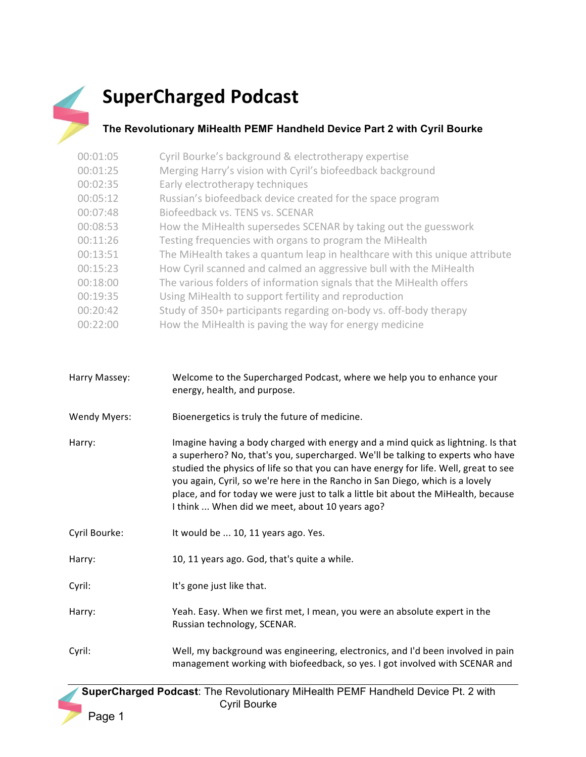

## **SuperCharged Podcast**

## **The Revolutionary MiHealth PEMF Handheld Device Part 2 with Cyril Bourke**

| 00:01:05 | Cyril Bourke's background & electrotherapy expertise                       |
|----------|----------------------------------------------------------------------------|
| 00:01:25 | Merging Harry's vision with Cyril's biofeedback background                 |
| 00:02:35 | Early electrotherapy techniques                                            |
| 00:05:12 | Russian's biofeedback device created for the space program                 |
| 00:07:48 | Biofeedback vs. TENS vs. SCENAR                                            |
| 00:08:53 | How the MiHealth supersedes SCENAR by taking out the guesswork             |
| 00:11:26 | Testing frequencies with organs to program the MiHealth                    |
| 00:13:51 | The MiHealth takes a quantum leap in healthcare with this unique attribute |
| 00:15:23 | How Cyril scanned and calmed an aggressive bull with the MiHealth          |
| 00:18:00 | The various folders of information signals that the MiHealth offers        |
| 00:19:35 | Using MiHealth to support fertility and reproduction                       |
| 00:20:42 | Study of 350+ participants regarding on-body vs. off-body therapy          |
| 00:22:00 | How the MiHealth is paving the way for energy medicine                     |

| Harry Massey:       | Welcome to the Supercharged Podcast, where we help you to enhance your<br>energy, health, and purpose.                                                                                                                                                                                                                                                                                                                                                                               |
|---------------------|--------------------------------------------------------------------------------------------------------------------------------------------------------------------------------------------------------------------------------------------------------------------------------------------------------------------------------------------------------------------------------------------------------------------------------------------------------------------------------------|
| <b>Wendy Myers:</b> | Bioenergetics is truly the future of medicine.                                                                                                                                                                                                                                                                                                                                                                                                                                       |
| Harry:              | Imagine having a body charged with energy and a mind quick as lightning. Is that<br>a superhero? No, that's you, supercharged. We'll be talking to experts who have<br>studied the physics of life so that you can have energy for life. Well, great to see<br>you again, Cyril, so we're here in the Rancho in San Diego, which is a lovely<br>place, and for today we were just to talk a little bit about the MiHealth, because<br>I think  When did we meet, about 10 years ago? |
| Cyril Bourke:       | It would be  10, 11 years ago. Yes.                                                                                                                                                                                                                                                                                                                                                                                                                                                  |
| Harry:              | 10, 11 years ago. God, that's quite a while.                                                                                                                                                                                                                                                                                                                                                                                                                                         |
| Cyril:              | It's gone just like that.                                                                                                                                                                                                                                                                                                                                                                                                                                                            |
| Harry:              | Yeah. Easy. When we first met, I mean, you were an absolute expert in the<br>Russian technology, SCENAR.                                                                                                                                                                                                                                                                                                                                                                             |
| Cyril:              | Well, my background was engineering, electronics, and I'd been involved in pain<br>management working with biofeedback, so yes. I got involved with SCENAR and                                                                                                                                                                                                                                                                                                                       |

 **SuperCharged Podcast**: The Revolutionary MiHealth PEMF Handheld Device Pt. 2 with Cyril Bourke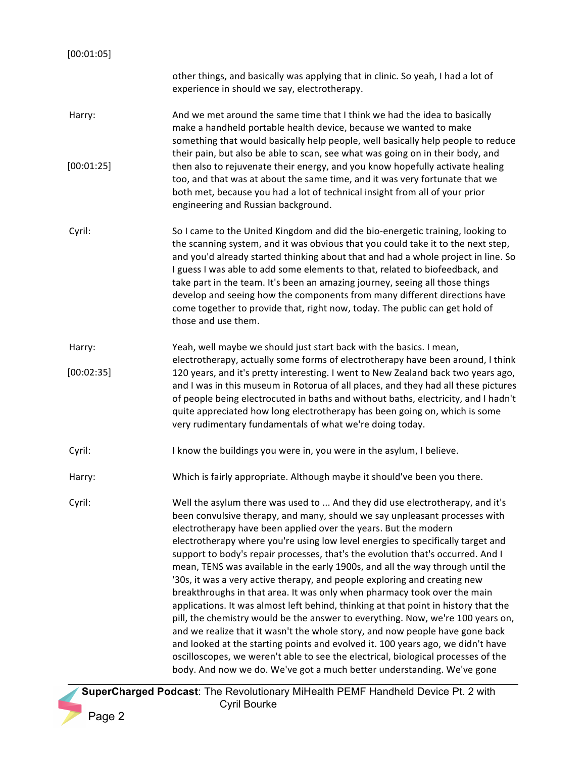| other things, and basically was applying that in clinic. So yeah, I had a lot of<br>experience in should we say, electrotherapy.                                                                                                                                                                                                                                                                                                                                                                                                                                                                                                                                                                                                                                                                                                                                                                                                                                                                                                                                                                                                                           |
|------------------------------------------------------------------------------------------------------------------------------------------------------------------------------------------------------------------------------------------------------------------------------------------------------------------------------------------------------------------------------------------------------------------------------------------------------------------------------------------------------------------------------------------------------------------------------------------------------------------------------------------------------------------------------------------------------------------------------------------------------------------------------------------------------------------------------------------------------------------------------------------------------------------------------------------------------------------------------------------------------------------------------------------------------------------------------------------------------------------------------------------------------------|
| And we met around the same time that I think we had the idea to basically<br>make a handheld portable health device, because we wanted to make<br>something that would basically help people, well basically help people to reduce<br>their pain, but also be able to scan, see what was going on in their body, and                                                                                                                                                                                                                                                                                                                                                                                                                                                                                                                                                                                                                                                                                                                                                                                                                                       |
| then also to rejuvenate their energy, and you know hopefully activate healing<br>too, and that was at about the same time, and it was very fortunate that we<br>both met, because you had a lot of technical insight from all of your prior<br>engineering and Russian background.                                                                                                                                                                                                                                                                                                                                                                                                                                                                                                                                                                                                                                                                                                                                                                                                                                                                         |
| So I came to the United Kingdom and did the bio-energetic training, looking to<br>the scanning system, and it was obvious that you could take it to the next step,<br>and you'd already started thinking about that and had a whole project in line. So<br>I guess I was able to add some elements to that, related to biofeedback, and<br>take part in the team. It's been an amazing journey, seeing all those things<br>develop and seeing how the components from many different directions have<br>come together to provide that, right now, today. The public can get hold of<br>those and use them.                                                                                                                                                                                                                                                                                                                                                                                                                                                                                                                                                 |
| Yeah, well maybe we should just start back with the basics. I mean,<br>electrotherapy, actually some forms of electrotherapy have been around, I think                                                                                                                                                                                                                                                                                                                                                                                                                                                                                                                                                                                                                                                                                                                                                                                                                                                                                                                                                                                                     |
| 120 years, and it's pretty interesting. I went to New Zealand back two years ago,<br>and I was in this museum in Rotorua of all places, and they had all these pictures<br>of people being electrocuted in baths and without baths, electricity, and I hadn't<br>quite appreciated how long electrotherapy has been going on, which is some<br>very rudimentary fundamentals of what we're doing today.                                                                                                                                                                                                                                                                                                                                                                                                                                                                                                                                                                                                                                                                                                                                                    |
| I know the buildings you were in, you were in the asylum, I believe.                                                                                                                                                                                                                                                                                                                                                                                                                                                                                                                                                                                                                                                                                                                                                                                                                                                                                                                                                                                                                                                                                       |
| Which is fairly appropriate. Although maybe it should've been you there.                                                                                                                                                                                                                                                                                                                                                                                                                                                                                                                                                                                                                                                                                                                                                                                                                                                                                                                                                                                                                                                                                   |
| Well the asylum there was used to  And they did use electrotherapy, and it's<br>been convulsive therapy, and many, should we say unpleasant processes with<br>electrotherapy have been applied over the years. But the modern<br>electrotherapy where you're using low level energies to specifically target and<br>support to body's repair processes, that's the evolution that's occurred. And I<br>mean, TENS was available in the early 1900s, and all the way through until the<br>'30s, it was a very active therapy, and people exploring and creating new<br>breakthroughs in that area. It was only when pharmacy took over the main<br>applications. It was almost left behind, thinking at that point in history that the<br>pill, the chemistry would be the answer to everything. Now, we're 100 years on,<br>and we realize that it wasn't the whole story, and now people have gone back<br>and looked at the starting points and evolved it. 100 years ago, we didn't have<br>oscilloscopes, we weren't able to see the electrical, biological processes of the<br>body. And now we do. We've got a much better understanding. We've gone |
|                                                                                                                                                                                                                                                                                                                                                                                                                                                                                                                                                                                                                                                                                                                                                                                                                                                                                                                                                                                                                                                                                                                                                            |

**SuperCharged Podcast:** The Revolutionary MiHealth PEMF Handheld Device Pt. 2 with Cyril Bourke Page 2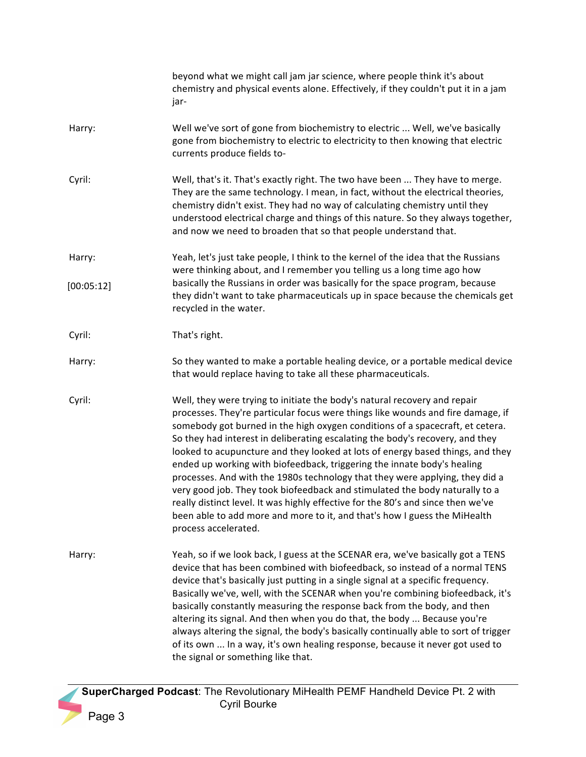|            | beyond what we might call jam jar science, where people think it's about<br>chemistry and physical events alone. Effectively, if they couldn't put it in a jam<br>jar-                                                                                                                                                                                                                                                                                                                                                                                                                                                                                                                                                                                                                                                                              |
|------------|-----------------------------------------------------------------------------------------------------------------------------------------------------------------------------------------------------------------------------------------------------------------------------------------------------------------------------------------------------------------------------------------------------------------------------------------------------------------------------------------------------------------------------------------------------------------------------------------------------------------------------------------------------------------------------------------------------------------------------------------------------------------------------------------------------------------------------------------------------|
| Harry:     | Well we've sort of gone from biochemistry to electric  Well, we've basically<br>gone from biochemistry to electric to electricity to then knowing that electric<br>currents produce fields to-                                                                                                                                                                                                                                                                                                                                                                                                                                                                                                                                                                                                                                                      |
| Cyril:     | Well, that's it. That's exactly right. The two have been  They have to merge.<br>They are the same technology. I mean, in fact, without the electrical theories,<br>chemistry didn't exist. They had no way of calculating chemistry until they<br>understood electrical charge and things of this nature. So they always together,<br>and now we need to broaden that so that people understand that.                                                                                                                                                                                                                                                                                                                                                                                                                                              |
| Harry:     | Yeah, let's just take people, I think to the kernel of the idea that the Russians<br>were thinking about, and I remember you telling us a long time ago how                                                                                                                                                                                                                                                                                                                                                                                                                                                                                                                                                                                                                                                                                         |
| [00:05:12] | basically the Russians in order was basically for the space program, because<br>they didn't want to take pharmaceuticals up in space because the chemicals get<br>recycled in the water.                                                                                                                                                                                                                                                                                                                                                                                                                                                                                                                                                                                                                                                            |
| Cyril:     | That's right.                                                                                                                                                                                                                                                                                                                                                                                                                                                                                                                                                                                                                                                                                                                                                                                                                                       |
| Harry:     | So they wanted to make a portable healing device, or a portable medical device<br>that would replace having to take all these pharmaceuticals.                                                                                                                                                                                                                                                                                                                                                                                                                                                                                                                                                                                                                                                                                                      |
| Cyril:     | Well, they were trying to initiate the body's natural recovery and repair<br>processes. They're particular focus were things like wounds and fire damage, if<br>somebody got burned in the high oxygen conditions of a spacecraft, et cetera.<br>So they had interest in deliberating escalating the body's recovery, and they<br>looked to acupuncture and they looked at lots of energy based things, and they<br>ended up working with biofeedback, triggering the innate body's healing<br>processes. And with the 1980s technology that they were applying, they did a<br>very good job. They took biofeedback and stimulated the body naturally to a<br>really distinct level. It was highly effective for the 80's and since then we've<br>been able to add more and more to it, and that's how I guess the MiHealth<br>process accelerated. |
| Harry:     | Yeah, so if we look back, I guess at the SCENAR era, we've basically got a TENS<br>device that has been combined with biofeedback, so instead of a normal TENS<br>device that's basically just putting in a single signal at a specific frequency.<br>Basically we've, well, with the SCENAR when you're combining biofeedback, it's<br>basically constantly measuring the response back from the body, and then<br>altering its signal. And then when you do that, the body  Because you're<br>always altering the signal, the body's basically continually able to sort of trigger<br>of its own  In a way, it's own healing response, because it never got used to<br>the signal or something like that.                                                                                                                                         |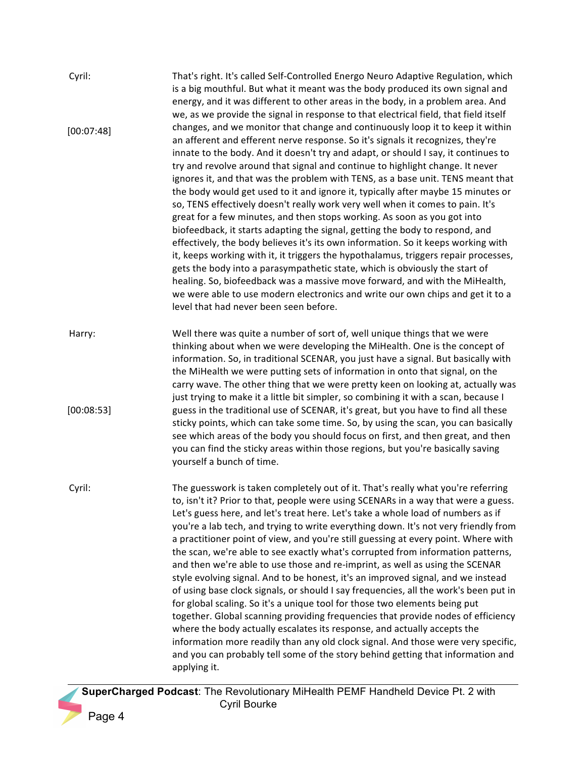| Cyril:     | That's right. It's called Self-Controlled Energo Neuro Adaptive Regulation, which<br>is a big mouthful. But what it meant was the body produced its own signal and<br>energy, and it was different to other areas in the body, in a problem area. And<br>we, as we provide the signal in response to that electrical field, that field itself                                                                                                                                                                                                                                                                                                                                                                                                                                                                                                                                                                                                                                                                                                                                                                                                                                                                                       |
|------------|-------------------------------------------------------------------------------------------------------------------------------------------------------------------------------------------------------------------------------------------------------------------------------------------------------------------------------------------------------------------------------------------------------------------------------------------------------------------------------------------------------------------------------------------------------------------------------------------------------------------------------------------------------------------------------------------------------------------------------------------------------------------------------------------------------------------------------------------------------------------------------------------------------------------------------------------------------------------------------------------------------------------------------------------------------------------------------------------------------------------------------------------------------------------------------------------------------------------------------------|
| [00:07:48] | changes, and we monitor that change and continuously loop it to keep it within<br>an afferent and efferent nerve response. So it's signals it recognizes, they're<br>innate to the body. And it doesn't try and adapt, or should I say, it continues to<br>try and revolve around that signal and continue to highlight change. It never<br>ignores it, and that was the problem with TENS, as a base unit. TENS meant that<br>the body would get used to it and ignore it, typically after maybe 15 minutes or<br>so, TENS effectively doesn't really work very well when it comes to pain. It's<br>great for a few minutes, and then stops working. As soon as you got into<br>biofeedback, it starts adapting the signal, getting the body to respond, and<br>effectively, the body believes it's its own information. So it keeps working with<br>it, keeps working with it, it triggers the hypothalamus, triggers repair processes,<br>gets the body into a parasympathetic state, which is obviously the start of<br>healing. So, biofeedback was a massive move forward, and with the MiHealth,<br>we were able to use modern electronics and write our own chips and get it to a<br>level that had never been seen before. |
| Harry:     | Well there was quite a number of sort of, well unique things that we were<br>thinking about when we were developing the MiHealth. One is the concept of<br>information. So, in traditional SCENAR, you just have a signal. But basically with<br>the MiHealth we were putting sets of information in onto that signal, on the<br>carry wave. The other thing that we were pretty keen on looking at, actually was<br>just trying to make it a little bit simpler, so combining it with a scan, because I                                                                                                                                                                                                                                                                                                                                                                                                                                                                                                                                                                                                                                                                                                                            |
| [00:08:53] | guess in the traditional use of SCENAR, it's great, but you have to find all these<br>sticky points, which can take some time. So, by using the scan, you can basically<br>see which areas of the body you should focus on first, and then great, and then<br>you can find the sticky areas within those regions, but you're basically saving<br>yourself a bunch of time.                                                                                                                                                                                                                                                                                                                                                                                                                                                                                                                                                                                                                                                                                                                                                                                                                                                          |
| Cyril:     | The guesswork is taken completely out of it. That's really what you're referring<br>to, isn't it? Prior to that, people were using SCENARs in a way that were a guess.<br>Let's guess here, and let's treat here. Let's take a whole load of numbers as if<br>you're a lab tech, and trying to write everything down. It's not very friendly from<br>a practitioner point of view, and you're still guessing at every point. Where with<br>the scan, we're able to see exactly what's corrupted from information patterns,<br>and then we're able to use those and re-imprint, as well as using the SCENAR<br>style evolving signal. And to be honest, it's an improved signal, and we instead<br>of using base clock signals, or should I say frequencies, all the work's been put in<br>for global scaling. So it's a unique tool for those two elements being put<br>together. Global scanning providing frequencies that provide nodes of efficiency<br>where the body actually escalates its response, and actually accepts the<br>information more readily than any old clock signal. And those were very specific,<br>and you can probably tell some of the story behind getting that information and<br>applying it.        |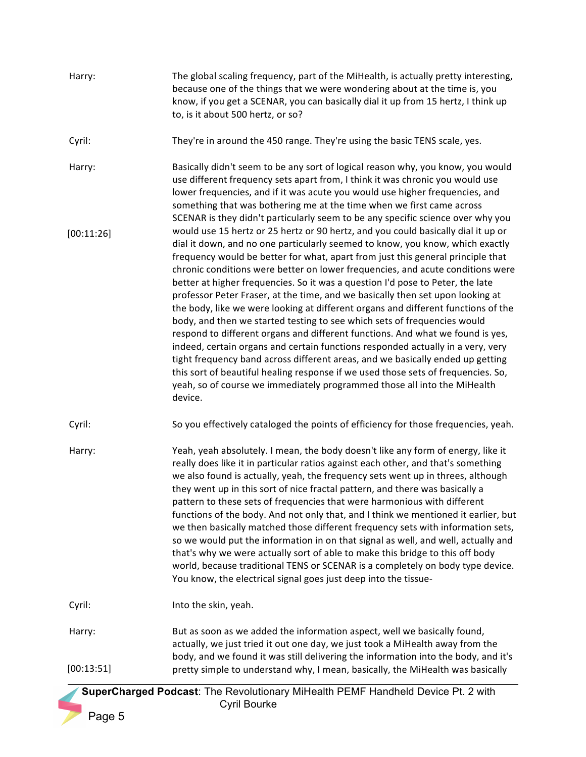Harry: The global scaling frequency, part of the MiHealth, is actually pretty interesting, because one of the things that we were wondering about at the time is, you know, if you get a SCENAR, you can basically dial it up from 15 hertz, I think up to, is it about 500 hertz, or so?

Cyril: They're in around the 450 range. They're using the basic TENS scale, yes.

Harry: Basically didn't seem to be any sort of logical reason why, you know, you would use different frequency sets apart from, I think it was chronic you would use lower frequencies, and if it was acute you would use higher frequencies, and something that was bothering me at the time when we first came across SCENAR is they didn't particularly seem to be any specific science over why you would use 15 hertz or 25 hertz or 90 hertz, and you could basically dial it up or dial it down, and no one particularly seemed to know, you know, which exactly frequency would be better for what, apart from just this general principle that chronic conditions were better on lower frequencies, and acute conditions were better at higher frequencies. So it was a question I'd pose to Peter, the late professor Peter Fraser, at the time, and we basically then set upon looking at the body, like we were looking at different organs and different functions of the body, and then we started testing to see which sets of frequencies would respond to different organs and different functions. And what we found is yes, indeed, certain organs and certain functions responded actually in a very, very tight frequency band across different areas, and we basically ended up getting this sort of beautiful healing response if we used those sets of frequencies. So, yeah, so of course we immediately programmed those all into the MiHealth device. [00:11:26]

Cyril: So you effectively cataloged the points of efficiency for those frequencies, yeah.

Harry: Yeah, yeah absolutely. I mean, the body doesn't like any form of energy, like it really does like it in particular ratios against each other, and that's something we also found is actually, yeah, the frequency sets went up in threes, although they went up in this sort of nice fractal pattern, and there was basically a pattern to these sets of frequencies that were harmonious with different functions of the body. And not only that, and I think we mentioned it earlier, but we then basically matched those different frequency sets with information sets, so we would put the information in on that signal as well, and well, actually and that's why we were actually sort of able to make this bridge to this off body world, because traditional TENS or SCENAR is a completely on body type device. You know, the electrical signal goes just deep into the tissue-

Cyril: Into the skin, yeah.

Harry: But as soon as we added the information aspect, well we basically found, actually, we just tried it out one day, we just took a MiHealth away from the body, and we found it was still delivering the information into the body, and it's pretty simple to understand why, I mean, basically, the MiHealth was basically [00:13:51]

 **SuperCharged Podcast**: The Revolutionary MiHealth PEMF Handheld Device Pt. 2 with Cyril Bourke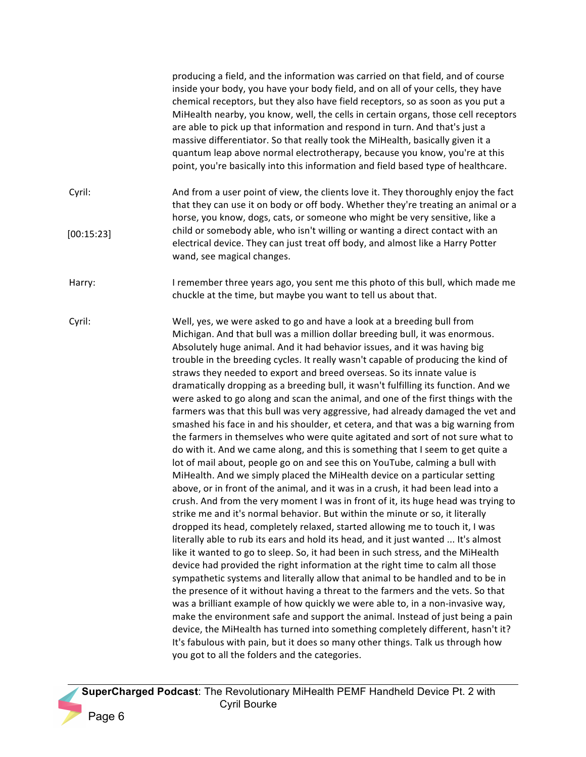producing a field, and the information was carried on that field, and of course inside your body, you have your body field, and on all of your cells, they have chemical receptors, but they also have field receptors, so as soon as you put a MiHealth nearby, you know, well, the cells in certain organs, those cell receptors are able to pick up that information and respond in turn. And that's just a massive differentiator. So that really took the MiHealth, basically given it a quantum leap above normal electrotherapy, because you know, you're at this point, you're basically into this information and field based type of healthcare.

- Cyril: And from a user point of view, the clients love it. They thoroughly enjoy the fact that they can use it on body or off body. Whether they're treating an animal or a horse, you know, dogs, cats, or someone who might be very sensitive, like a child or somebody able, who isn't willing or wanting a direct contact with an electrical device. They can just treat off body, and almost like a Harry Potter wand, see magical changes. [00:15:23]
- Harry: Intermember three years ago, you sent me this photo of this bull, which made me chuckle at the time, but maybe you want to tell us about that.
- Cyril: Well, yes, we were asked to go and have a look at a breeding bull from Michigan. And that bull was a million dollar breeding bull, it was enormous. Absolutely huge animal. And it had behavior issues, and it was having big trouble in the breeding cycles. It really wasn't capable of producing the kind of straws they needed to export and breed overseas. So its innate value is dramatically dropping as a breeding bull, it wasn't fulfilling its function. And we were asked to go along and scan the animal, and one of the first things with the farmers was that this bull was very aggressive, had already damaged the vet and smashed his face in and his shoulder, et cetera, and that was a big warning from the farmers in themselves who were quite agitated and sort of not sure what to do with it. And we came along, and this is something that I seem to get quite a lot of mail about, people go on and see this on YouTube, calming a bull with MiHealth. And we simply placed the MiHealth device on a particular setting above, or in front of the animal, and it was in a crush, it had been lead into a crush. And from the very moment I was in front of it, its huge head was trying to strike me and it's normal behavior. But within the minute or so, it literally dropped its head, completely relaxed, started allowing me to touch it, I was literally able to rub its ears and hold its head, and it just wanted ... It's almost like it wanted to go to sleep. So, it had been in such stress, and the MiHealth device had provided the right information at the right time to calm all those sympathetic systems and literally allow that animal to be handled and to be in the presence of it without having a threat to the farmers and the vets. So that was a brilliant example of how quickly we were able to, in a non-invasive way, make the environment safe and support the animal. Instead of just being a pain device, the MiHealth has turned into something completely different, hasn't it? It's fabulous with pain, but it does so many other things. Talk us through how you got to all the folders and the categories.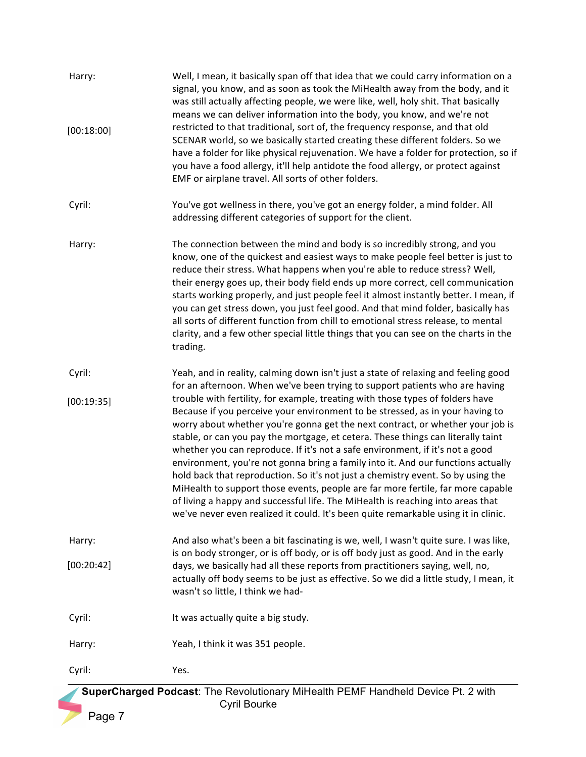| Harry:<br>[00:18:00]                                                             | Well, I mean, it basically span off that idea that we could carry information on a<br>signal, you know, and as soon as took the MiHealth away from the body, and it<br>was still actually affecting people, we were like, well, holy shit. That basically<br>means we can deliver information into the body, you know, and we're not<br>restricted to that traditional, sort of, the frequency response, and that old<br>SCENAR world, so we basically started creating these different folders. So we<br>have a folder for like physical rejuvenation. We have a folder for protection, so if<br>you have a food allergy, it'll help antidote the food allergy, or protect against<br>EMF or airplane travel. All sorts of other folders.                                                                                                                 |  |
|----------------------------------------------------------------------------------|------------------------------------------------------------------------------------------------------------------------------------------------------------------------------------------------------------------------------------------------------------------------------------------------------------------------------------------------------------------------------------------------------------------------------------------------------------------------------------------------------------------------------------------------------------------------------------------------------------------------------------------------------------------------------------------------------------------------------------------------------------------------------------------------------------------------------------------------------------|--|
| Cyril:                                                                           | You've got wellness in there, you've got an energy folder, a mind folder. All<br>addressing different categories of support for the client.                                                                                                                                                                                                                                                                                                                                                                                                                                                                                                                                                                                                                                                                                                                |  |
| Harry:                                                                           | The connection between the mind and body is so incredibly strong, and you<br>know, one of the quickest and easiest ways to make people feel better is just to<br>reduce their stress. What happens when you're able to reduce stress? Well,<br>their energy goes up, their body field ends up more correct, cell communication<br>starts working properly, and just people feel it almost instantly better. I mean, if<br>you can get stress down, you just feel good. And that mind folder, basically has<br>all sorts of different function from chill to emotional stress release, to mental<br>clarity, and a few other special little things that you can see on the charts in the<br>trading.                                                                                                                                                        |  |
| Cyril:                                                                           | Yeah, and in reality, calming down isn't just a state of relaxing and feeling good<br>for an afternoon. When we've been trying to support patients who are having                                                                                                                                                                                                                                                                                                                                                                                                                                                                                                                                                                                                                                                                                          |  |
| [00:19:35]                                                                       | trouble with fertility, for example, treating with those types of folders have<br>Because if you perceive your environment to be stressed, as in your having to<br>worry about whether you're gonna get the next contract, or whether your job is<br>stable, or can you pay the mortgage, et cetera. These things can literally taint<br>whether you can reproduce. If it's not a safe environment, if it's not a good<br>environment, you're not gonna bring a family into it. And our functions actually<br>hold back that reproduction. So it's not just a chemistry event. So by using the<br>MiHealth to support those events, people are far more fertile, far more capable<br>of living a happy and successful life. The MiHealth is reaching into areas that<br>we've never even realized it could. It's been quite remarkable using it in clinic. |  |
| Harry:                                                                           | And also what's been a bit fascinating is we, well, I wasn't quite sure. I was like,<br>is on body stronger, or is off body, or is off body just as good. And in the early                                                                                                                                                                                                                                                                                                                                                                                                                                                                                                                                                                                                                                                                                 |  |
| [00:20:42]                                                                       | days, we basically had all these reports from practitioners saying, well, no,<br>actually off body seems to be just as effective. So we did a little study, I mean, it<br>wasn't so little, I think we had-                                                                                                                                                                                                                                                                                                                                                                                                                                                                                                                                                                                                                                                |  |
| Cyril:                                                                           | It was actually quite a big study.                                                                                                                                                                                                                                                                                                                                                                                                                                                                                                                                                                                                                                                                                                                                                                                                                         |  |
| Harry:                                                                           | Yeah, I think it was 351 people.                                                                                                                                                                                                                                                                                                                                                                                                                                                                                                                                                                                                                                                                                                                                                                                                                           |  |
| Cyril:                                                                           | Yes.                                                                                                                                                                                                                                                                                                                                                                                                                                                                                                                                                                                                                                                                                                                                                                                                                                                       |  |
| SuperCharged Podcast: The Revolutionary MiHealth PEMF Handheld Device Pt. 2 with |                                                                                                                                                                                                                                                                                                                                                                                                                                                                                                                                                                                                                                                                                                                                                                                                                                                            |  |
|                                                                                  | Cyril Bourke                                                                                                                                                                                                                                                                                                                                                                                                                                                                                                                                                                                                                                                                                                                                                                                                                                               |  |